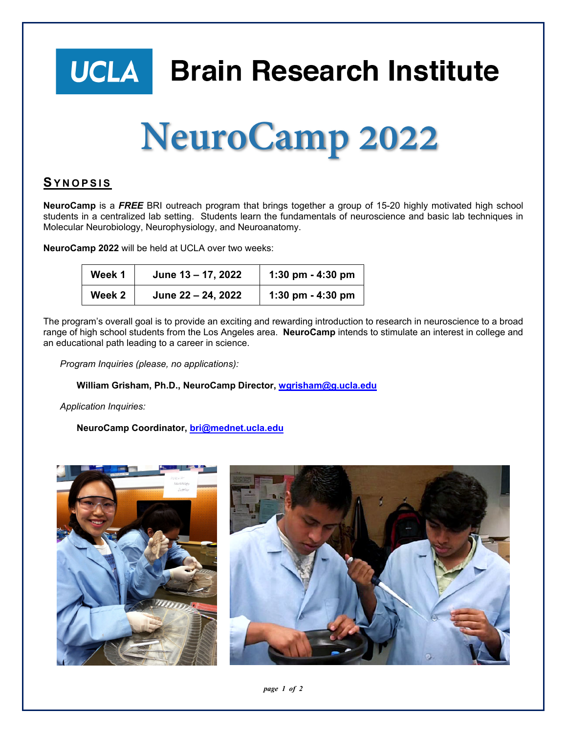



## **SYNOPSIS**

**NeuroCamp** is a *FREE* BRI outreach program that brings together a group of 15-20 highly motivated high school students in a centralized lab setting. Students learn the fundamentals of neuroscience and basic lab techniques in Molecular Neurobiology, Neurophysiology, and Neuroanatomy.

**NeuroCamp 2022** will be held at UCLA over two weeks:

| Week 1 | June 13 - 17, 2022 | 1:30 pm - 4:30 pm |
|--------|--------------------|-------------------|
| Week 2 | June 22 - 24, 2022 | 1:30 pm - 4:30 pm |

The program's overall goal is to provide an exciting and rewarding introduction to research in neuroscience to a broad range of high school students from the Los Angeles area. **NeuroCamp** intends to stimulate an interest in college and an educational path leading to a career in science.

*Program Inquiries (please, no applications):* 

**William Grisham, Ph.D., NeuroCamp Director, wgrisham@g.ucla.edu**

*Application Inquiries:* 

**NeuroCamp Coordinator, bri@mednet.ucla.edu**